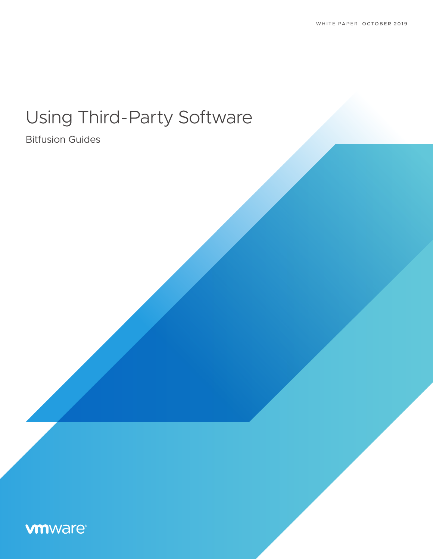# Using Third-Party Software

### Bitfusion Guides

## **vm**ware<sup>®</sup>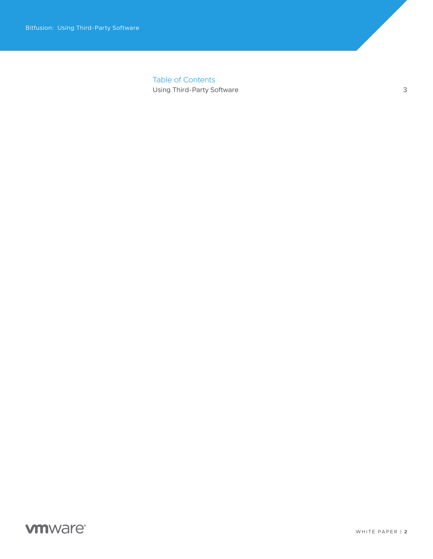Table of Contents [Using Third-Party Software](#page-2-0) 3

#### **vm**ware<sup>®</sup>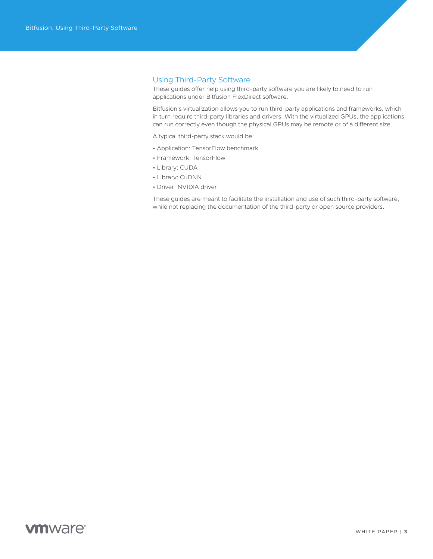#### <span id="page-2-0"></span>Using Third-Party Software

These guides offer help using third-party software you are likely to need to run applications under Bitfusion FlexDirect software.

Bitfusion's virtualization allows you to run third-party applications and frameworks, which in turn require third-party libraries and drivers. With the virtualized GPUs, the applications can run correctly even though the physical GPUs may be remote or of a different size.

A typical third-party stack would be:

- Application: TensorFlow benchmark
- Framework: TensorFlow
- Library: CUDA
- Library: CuDNN
- Driver: NVIDIA driver

These guides are meant to facilitate the installation and use of such third-party software, while not replacing the documentation of the third-party or open source providers.

#### **vm**ware<sup>®</sup>